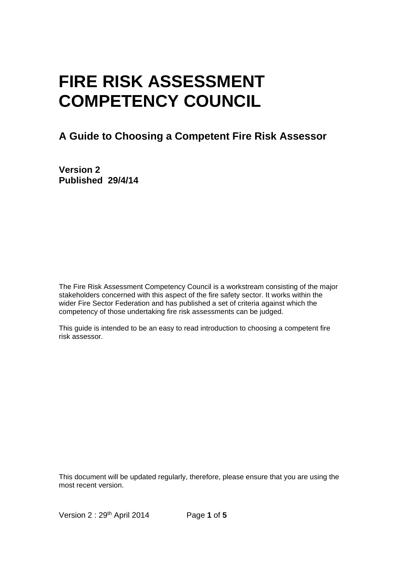# **FIRE RISK ASSESSMENT COMPETENCY COUNCIL**

## **A Guide to Choosing a Competent Fire Risk Assessor**

**Version 2 Published 29/4/14** 

The Fire Risk Assessment Competency Council is a workstream consisting of the major stakeholders concerned with this aspect of the fire safety sector. It works within the wider Fire Sector Federation and has published a set of criteria against which the competency of those undertaking fire risk assessments can be judged.

This guide is intended to be an easy to read introduction to choosing a competent fire risk assessor.

This document will be updated regularly, therefore, please ensure that you are using the most recent version.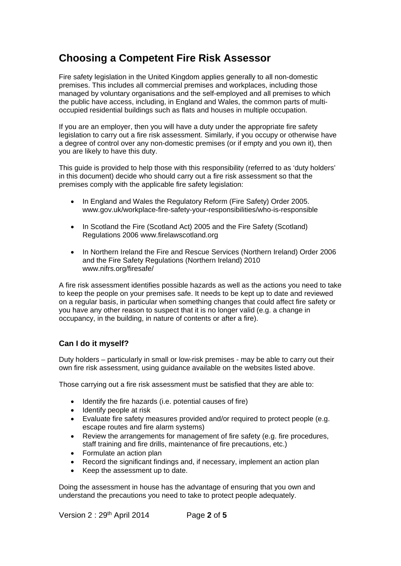## **Choosing a Competent Fire Risk Assessor**

Fire safety legislation in the United Kingdom applies generally to all non-domestic premises. This includes all commercial premises and workplaces, including those managed by voluntary organisations and the self-employed and all premises to which the public have access, including, in England and Wales, the common parts of multioccupied residential buildings such as flats and houses in multiple occupation.

If you are an employer, then you will have a duty under the appropriate fire safety legislation to carry out a fire risk assessment. Similarly, if you occupy or otherwise have a degree of control over any non-domestic premises (or if empty and you own it), then you are likely to have this duty.

This guide is provided to help those with this responsibility (referred to as 'duty holders' in this document) decide who should carry out a fire risk assessment so that the premises comply with the applicable fire safety legislation:

- In England and Wales the Regulatory Reform (Fire Safety) Order 2005. www.gov.uk/workplace-fire-safety-your-responsibilities/who-is-responsible
- In Scotland the Fire (Scotland Act) 2005 and the Fire Safety (Scotland) Regulations 2006 www.firelawscotland.org
- In Northern Ireland the Fire and Rescue Services (Northern Ireland) Order 2006 and the Fire Safety Regulations (Northern Ireland) 2010 www.nifrs.org/firesafe/

A fire risk assessment identifies possible hazards as well as the actions you need to take to keep the people on your premises safe. It needs to be kept up to date and reviewed on a regular basis, in particular when something changes that could affect fire safety or you have any other reason to suspect that it is no longer valid (e.g. a change in occupancy, in the building, in nature of contents or after a fire).

#### **Can I do it myself?**

Duty holders – particularly in small or low-risk premises - may be able to carry out their own fire risk assessment, using guidance available on the websites listed above.

Those carrying out a fire risk assessment must be satisfied that they are able to:

- Identify the fire hazards (i.e. potential causes of fire)
- Identify people at risk
- Evaluate fire safety measures provided and/or required to protect people (e.g. escape routes and fire alarm systems)
- Review the arrangements for management of fire safety (e.g. fire procedures, staff training and fire drills, maintenance of fire precautions, etc.)
- Formulate an action plan
- Record the significant findings and, if necessary, implement an action plan
- Keep the assessment up to date.

Doing the assessment in house has the advantage of ensuring that you own and understand the precautions you need to take to protect people adequately.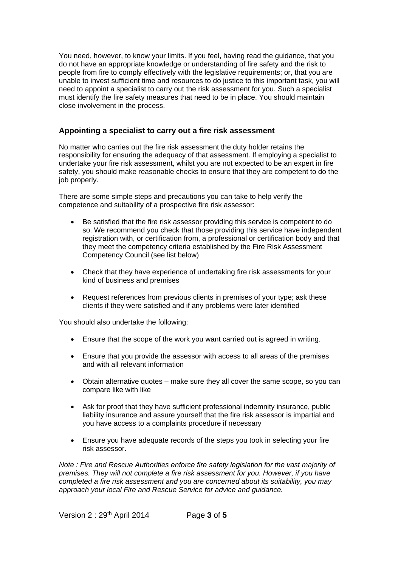You need, however, to know your limits. If you feel, having read the guidance, that you do not have an appropriate knowledge or understanding of fire safety and the risk to people from fire to comply effectively with the legislative requirements; or, that you are unable to invest sufficient time and resources to do justice to this important task, you will need to appoint a specialist to carry out the risk assessment for you. Such a specialist must identify the fire safety measures that need to be in place. You should maintain close involvement in the process.

#### **Appointing a specialist to carry out a fire risk assessment**

No matter who carries out the fire risk assessment the duty holder retains the responsibility for ensuring the adequacy of that assessment. If employing a specialist to undertake your fire risk assessment, whilst you are not expected to be an expert in fire safety, you should make reasonable checks to ensure that they are competent to do the job properly.

There are some simple steps and precautions you can take to help verify the competence and suitability of a prospective fire risk assessor:

- Be satisfied that the fire risk assessor providing this service is competent to do so. We recommend you check that those providing this service have independent registration with, or certification from, a professional or certification body and that they meet the competency criteria established by the Fire Risk Assessment Competency Council (see list below)
- Check that they have experience of undertaking fire risk assessments for your kind of business and premises
- Request references from previous clients in premises of your type; ask these clients if they were satisfied and if any problems were later identified

You should also undertake the following:

- Ensure that the scope of the work you want carried out is agreed in writing.
- Ensure that you provide the assessor with access to all areas of the premises and with all relevant information
- Obtain alternative quotes make sure they all cover the same scope, so you can compare like with like
- Ask for proof that they have sufficient professional indemnity insurance, public liability insurance and assure yourself that the fire risk assessor is impartial and you have access to a complaints procedure if necessary
- Ensure you have adequate records of the steps you took in selecting your fire risk assessor.

*Note : Fire and Rescue Authorities enforce fire safety legislation for the vast majority of premises. They will not complete a fire risk assessment for you. However, if you have completed a fire risk assessment and you are concerned about its suitability, you may approach your local Fire and Rescue Service for advice and guidance.*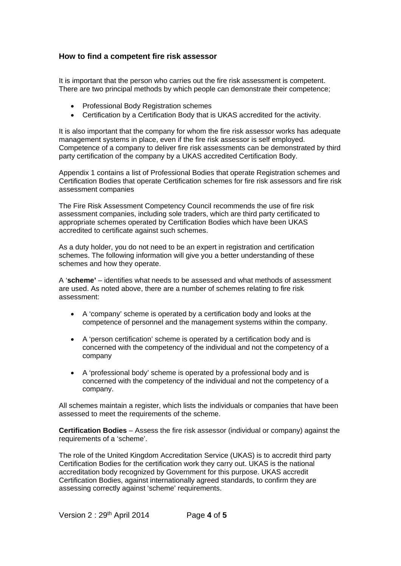#### **How to find a competent fire risk assessor**

It is important that the person who carries out the fire risk assessment is competent. There are two principal methods by which people can demonstrate their competence;

- Professional Body Registration schemes
- Certification by a Certification Body that is UKAS accredited for the activity.

It is also important that the company for whom the fire risk assessor works has adequate management systems in place, even if the fire risk assessor is self employed. Competence of a company to deliver fire risk assessments can be demonstrated by third party certification of the company by a UKAS accredited Certification Body.

Appendix 1 contains a list of Professional Bodies that operate Registration schemes and Certification Bodies that operate Certification schemes for fire risk assessors and fire risk assessment companies

The Fire Risk Assessment Competency Council recommends the use of fire risk assessment companies, including sole traders, which are third party certificated to appropriate schemes operated by Certification Bodies which have been UKAS accredited to certificate against such schemes.

As a duty holder, you do not need to be an expert in registration and certification schemes. The following information will give you a better understanding of these schemes and how they operate.

A '**scheme'** – identifies what needs to be assessed and what methods of assessment are used. As noted above, there are a number of schemes relating to fire risk assessment:

- A 'company' scheme is operated by a certification body and looks at the competence of personnel and the management systems within the company.
- A 'person certification' scheme is operated by a certification body and is concerned with the competency of the individual and not the competency of a company
- A 'professional body' scheme is operated by a professional body and is concerned with the competency of the individual and not the competency of a company.

All schemes maintain a register, which lists the individuals or companies that have been assessed to meet the requirements of the scheme.

**Certification Bodies** – Assess the fire risk assessor (individual or company) against the requirements of a 'scheme'.

The role of the United Kingdom Accreditation Service (UKAS) is to accredit third party Certification Bodies for the certification work they carry out. UKAS is the national accreditation body recognized by Government for this purpose. UKAS accredit Certification Bodies, against internationally agreed standards, to confirm they are assessing correctly against 'scheme' requirements.